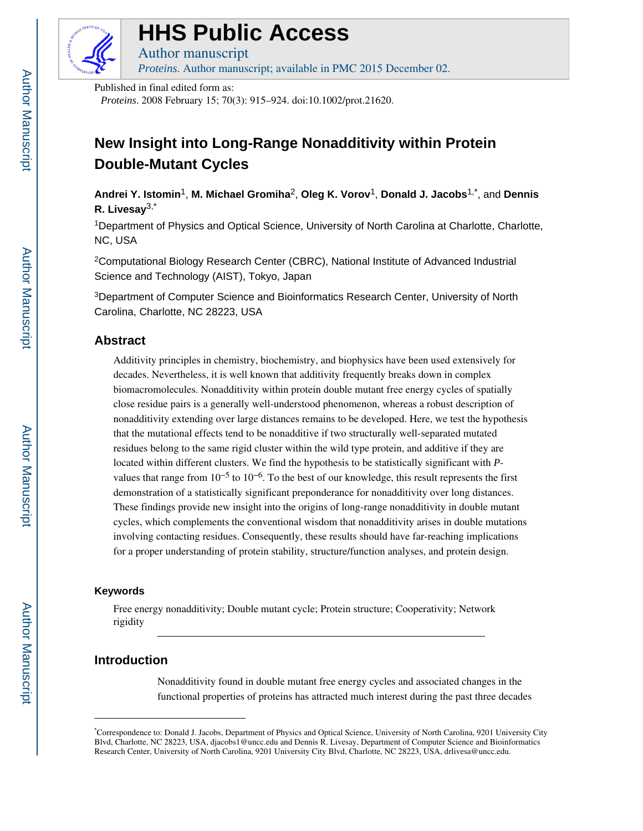

### **HHS Public Access**

Author manuscript *Proteins*. Author manuscript; available in PMC 2015 December 02.

Published in final edited form as:

*Proteins*. 2008 February 15; 70(3): 915–924. doi:10.1002/prot.21620.

### **New Insight into Long-Range Nonadditivity within Protein Double-Mutant Cycles**

**Andrei Y. Istomin**1, **M. Michael Gromiha**2, **Oleg K. Vorov**1, **Donald J. Jacobs**1,\*, and **Dennis R. Livesay**3,\*

<sup>1</sup>Department of Physics and Optical Science, University of North Carolina at Charlotte, Charlotte, NC, USA

<sup>2</sup>Computational Biology Research Center (CBRC), National Institute of Advanced Industrial Science and Technology (AIST), Tokyo, Japan

<sup>3</sup>Department of Computer Science and Bioinformatics Research Center, University of North Carolina, Charlotte, NC 28223, USA

#### **Abstract**

Additivity principles in chemistry, biochemistry, and biophysics have been used extensively for decades. Nevertheless, it is well known that additivity frequently breaks down in complex biomacromolecules. Nonadditivity within protein double mutant free energy cycles of spatially close residue pairs is a generally well-understood phenomenon, whereas a robust description of nonadditivity extending over large distances remains to be developed. Here, we test the hypothesis that the mutational effects tend to be nonadditive if two structurally well-separated mutated residues belong to the same rigid cluster within the wild type protein, and additive if they are located within different clusters. We find the hypothesis to be statistically significant with *P*values that range from  $10^{-5}$  to  $10^{-6}$ . To the best of our knowledge, this result represents the first demonstration of a statistically significant preponderance for nonadditivity over long distances. These findings provide new insight into the origins of long-range nonadditivity in double mutant cycles, which complements the conventional wisdom that nonadditivity arises in double mutations involving contacting residues. Consequently, these results should have far-reaching implications for a proper understanding of protein stability, structure/function analyses, and protein design.

#### **Keywords**

Free energy nonadditivity; Double mutant cycle; Protein structure; Cooperativity; Network rigidity

#### **Introduction**

Nonadditivity found in double mutant free energy cycles and associated changes in the functional properties of proteins has attracted much interest during the past three decades

<sup>\*</sup>Correspondence to: Donald J. Jacobs, Department of Physics and Optical Science, University of North Carolina, 9201 University City Blvd, Charlotte, NC 28223, USA, djacobs1@uncc.edu and Dennis R. Livesay, Department of Computer Science and Bioinformatics Research Center, University of North Carolina, 9201 University City Blvd, Charlotte, NC 28223, USA, drlivesa@uncc.edu.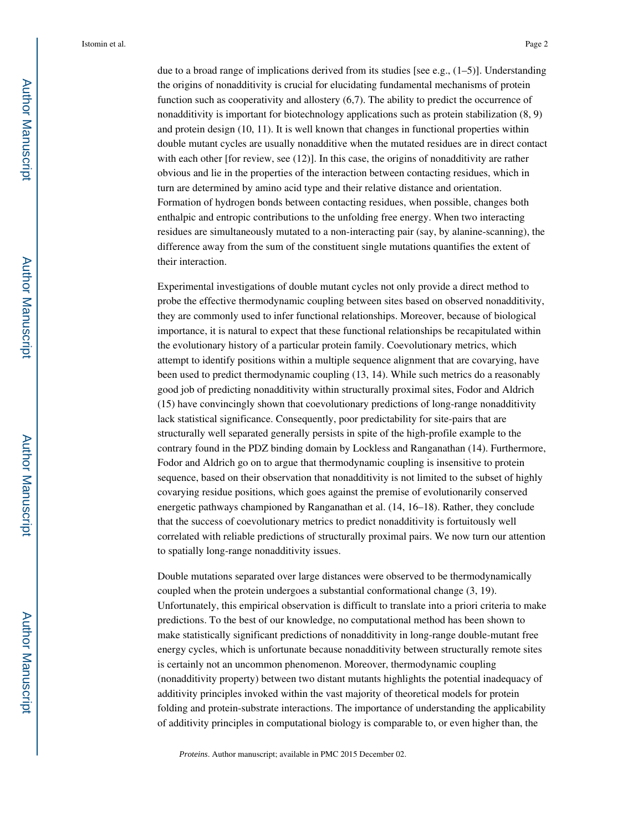due to a broad range of implications derived from its studies [see e.g.,  $(1-5)$ ]. Understanding the origins of nonadditivity is crucial for elucidating fundamental mechanisms of protein function such as cooperativity and allostery (6,7). The ability to predict the occurrence of nonadditivity is important for biotechnology applications such as protein stabilization (8, 9) and protein design (10, 11). It is well known that changes in functional properties within double mutant cycles are usually nonadditive when the mutated residues are in direct contact with each other [for review, see (12)]. In this case, the origins of nonadditivity are rather obvious and lie in the properties of the interaction between contacting residues, which in turn are determined by amino acid type and their relative distance and orientation. Formation of hydrogen bonds between contacting residues, when possible, changes both enthalpic and entropic contributions to the unfolding free energy. When two interacting residues are simultaneously mutated to a non-interacting pair (say, by alanine-scanning), the difference away from the sum of the constituent single mutations quantifies the extent of their interaction.

Experimental investigations of double mutant cycles not only provide a direct method to probe the effective thermodynamic coupling between sites based on observed nonadditivity, they are commonly used to infer functional relationships. Moreover, because of biological importance, it is natural to expect that these functional relationships be recapitulated within the evolutionary history of a particular protein family. Coevolutionary metrics, which attempt to identify positions within a multiple sequence alignment that are covarying, have been used to predict thermodynamic coupling (13, 14). While such metrics do a reasonably good job of predicting nonadditivity within structurally proximal sites, Fodor and Aldrich (15) have convincingly shown that coevolutionary predictions of long-range nonadditivity lack statistical significance. Consequently, poor predictability for site-pairs that are structurally well separated generally persists in spite of the high-profile example to the contrary found in the PDZ binding domain by Lockless and Ranganathan (14). Furthermore, Fodor and Aldrich go on to argue that thermodynamic coupling is insensitive to protein sequence, based on their observation that nonadditivity is not limited to the subset of highly covarying residue positions, which goes against the premise of evolutionarily conserved energetic pathways championed by Ranganathan et al. (14, 16–18). Rather, they conclude that the success of coevolutionary metrics to predict nonadditivity is fortuitously well correlated with reliable predictions of structurally proximal pairs. We now turn our attention to spatially long-range nonadditivity issues.

Double mutations separated over large distances were observed to be thermodynamically coupled when the protein undergoes a substantial conformational change (3, 19). Unfortunately, this empirical observation is difficult to translate into a priori criteria to make predictions. To the best of our knowledge, no computational method has been shown to make statistically significant predictions of nonadditivity in long-range double-mutant free energy cycles, which is unfortunate because nonadditivity between structurally remote sites is certainly not an uncommon phenomenon. Moreover, thermodynamic coupling (nonadditivity property) between two distant mutants highlights the potential inadequacy of additivity principles invoked within the vast majority of theoretical models for protein folding and protein-substrate interactions. The importance of understanding the applicability of additivity principles in computational biology is comparable to, or even higher than, the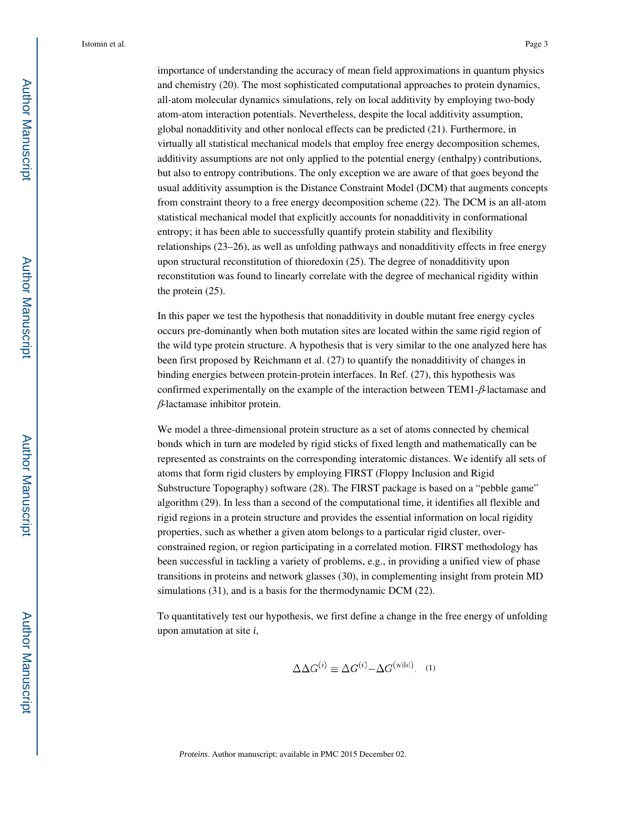importance of understanding the accuracy of mean field approximations in quantum physics and chemistry (20). The most sophisticated computational approaches to protein dynamics, all-atom molecular dynamics simulations, rely on local additivity by employing two-body atom-atom interaction potentials. Nevertheless, despite the local additivity assumption, global nonadditivity and other nonlocal effects can be predicted (21). Furthermore, in virtually all statistical mechanical models that employ free energy decomposition schemes, additivity assumptions are not only applied to the potential energy (enthalpy) contributions, but also to entropy contributions. The only exception we are aware of that goes beyond the usual additivity assumption is the Distance Constraint Model (DCM) that augments concepts from constraint theory to a free energy decomposition scheme (22). The DCM is an all-atom statistical mechanical model that explicitly accounts for nonadditivity in conformational entropy; it has been able to successfully quantify protein stability and flexibility relationships (23–26), as well as unfolding pathways and nonadditivity effects in free energy upon structural reconstitution of thioredoxin (25). The degree of nonadditivity upon reconstitution was found to linearly correlate with the degree of mechanical rigidity within the protein (25).

In this paper we test the hypothesis that nonadditivity in double mutant free energy cycles occurs pre-dominantly when both mutation sites are located within the same rigid region of the wild type protein structure. A hypothesis that is very similar to the one analyzed here has been first proposed by Reichmann et al. (27) to quantify the nonadditivity of changes in binding energies between protein-protein interfaces. In Ref. (27), this hypothesis was confirmed experimentally on the example of the interaction between TEM1-β-lactamase and β-lactamase inhibitor protein.

We model a three-dimensional protein structure as a set of atoms connected by chemical bonds which in turn are modeled by rigid sticks of fixed length and mathematically can be represented as constraints on the corresponding interatomic distances. We identify all sets of atoms that form rigid clusters by employing FIRST (Floppy Inclusion and Rigid Substructure Topography) software (28). The FIRST package is based on a "pebble game" algorithm (29). In less than a second of the computational time, it identifies all flexible and rigid regions in a protein structure and provides the essential information on local rigidity properties, such as whether a given atom belongs to a particular rigid cluster, overconstrained region, or region participating in a correlated motion. FIRST methodology has been successful in tackling a variety of problems, e.g., in providing a unified view of phase transitions in proteins and network glasses (30), in complementing insight from protein MD simulations (31), and is a basis for the thermodynamic DCM (22).

To quantitatively test our hypothesis, we first define a change in the free energy of unfolding upon amutation at site *i*,

$$
\Delta \Delta G^{(i)} \equiv \Delta G^{(i)} - \Delta G^{(\text{wild})}.
$$
 (1)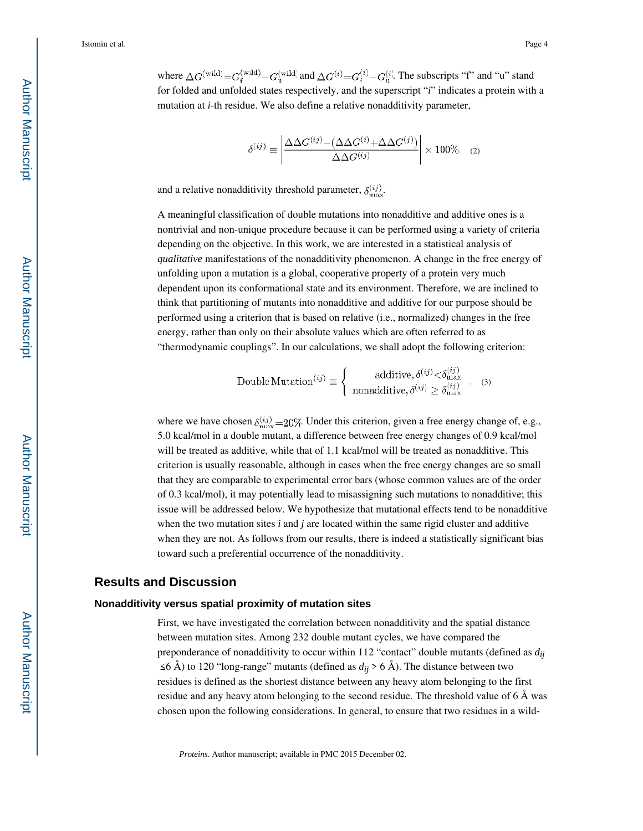where  $\Delta G^{(\text{wild})} = G_{\text{f}}^{(\text{wild})} - G_{\text{u}}^{(\text{wild})}$  and  $\Delta G^{(i)} = G_{\text{f}}^{(i)} - G_{\text{u}}^{(i)}$ . The subscripts "f" and "u" stand for folded and unfolded states respectively, and the superscript "*i*" indicates a protein with a mutation at *i*-th residue. We also define a relative nonadditivity parameter,

$$
\delta^{(ij)} \equiv \left| \frac{\Delta \Delta G^{(ij)} - (\Delta \Delta G^{(i)} + \Delta \Delta G^{(j)})}{\Delta \Delta G^{(ij)}} \right| \times 100\%, \quad (2)
$$

and a relative nonadditivity threshold parameter,  $\delta_{\text{max}}^{(ij)}$ .

A meaningful classification of double mutations into nonadditive and additive ones is a nontrivial and non-unique procedure because it can be performed using a variety of criteria depending on the objective. In this work, we are interested in a statistical analysis of *qualitative* manifestations of the nonadditivity phenomenon. A change in the free energy of unfolding upon a mutation is a global, cooperative property of a protein very much dependent upon its conformational state and its environment. Therefore, we are inclined to think that partitioning of mutants into nonadditive and additive for our purpose should be performed using a criterion that is based on relative (i.e., normalized) changes in the free energy, rather than only on their absolute values which are often referred to as "thermodynamic couplings". In our calculations, we shall adopt the following criterion:

Double Mutation<sup>(ij)</sup> 
$$
\equiv
$$
  $\begin{cases} \text{additive, } \delta^{(ij)} < \delta^{(ij)}_{\text{max}} \\ \text{nonadditive, } \delta^{(ij)} \geq \delta^{(ij)}_{\text{max}} \end{cases}$ , (3)

where we have chosen  $\delta_{\max}^{(ij)}=20\%$ . Under this criterion, given a free energy change of, e.g., 5.0 kcal/mol in a double mutant, a difference between free energy changes of 0.9 kcal/mol will be treated as additive, while that of 1.1 kcal/mol will be treated as nonadditive. This criterion is usually reasonable, although in cases when the free energy changes are so small that they are comparable to experimental error bars (whose common values are of the order of 0.3 kcal/mol), it may potentially lead to misassigning such mutations to nonadditive; this issue will be addressed below. We hypothesize that mutational effects tend to be nonadditive when the two mutation sites  $i$  and  $j$  are located within the same rigid cluster and additive when they are not. As follows from our results, there is indeed a statistically significant bias toward such a preferential occurrence of the nonadditivity.

#### **Results and Discussion**

#### **Nonadditivity versus spatial proximity of mutation sites**

First, we have investigated the correlation between nonadditivity and the spatial distance between mutation sites. Among 232 double mutant cycles, we have compared the preponderance of nonadditivity to occur within 112 "contact" double mutants (defined as  $d_{ij}$ ≤6 Å) to 120 "long-range" mutants (defined as  $d_{ij}$  > 6 Å). The distance between two residues is defined as the shortest distance between any heavy atom belonging to the first residue and any heavy atom belonging to the second residue. The threshold value of 6 Å was chosen upon the following considerations. In general, to ensure that two residues in a wild-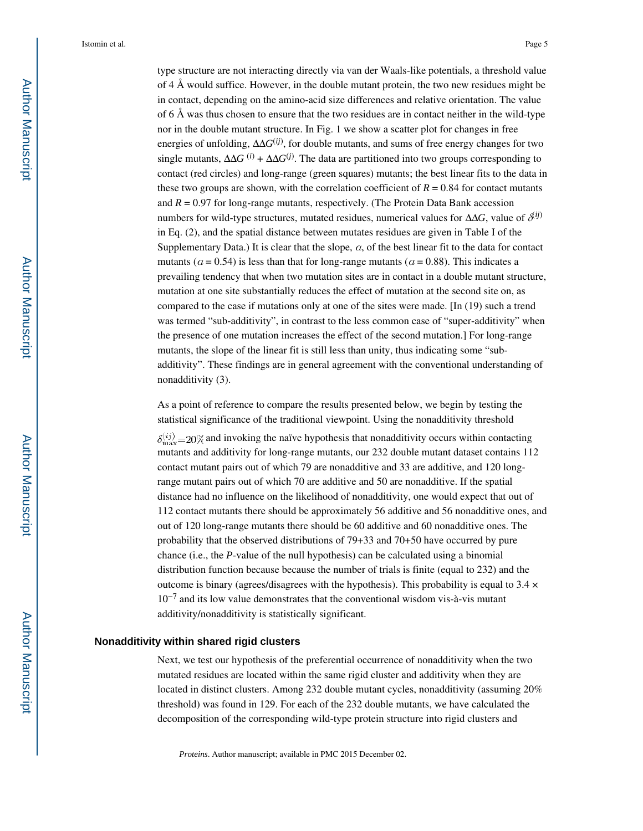type structure are not interacting directly via van der Waals-like potentials, a threshold value of 4 Å would suffice. However, in the double mutant protein, the two new residues might be in contact, depending on the amino-acid size differences and relative orientation. The value of 6 Å was thus chosen to ensure that the two residues are in contact neither in the wild-type nor in the double mutant structure. In Fig. 1 we show a scatter plot for changes in free energies of unfolding, ΔΔ*G*(*ij*) , for double mutants, and sums of free energy changes for two single mutants,  $\Delta \Delta G^{(i)} + \Delta \Delta G^{(j)}$ . The data are partitioned into two groups corresponding to contact (red circles) and long-range (green squares) mutants; the best linear fits to the data in these two groups are shown, with the correlation coefficient of  $R = 0.84$  for contact mutants and  $R = 0.97$  for long-range mutants, respectively. (The Protein Data Bank accession numbers for wild-type structures, mutated residues, numerical values for  $\Delta\Delta G$ , value of  $\delta^{(ij)}$ in Eq. (2), and the spatial distance between mutates residues are given in Table I of the Supplementary Data.) It is clear that the slope,  $\alpha$ , of the best linear fit to the data for contact mutants ( $a = 0.54$ ) is less than that for long-range mutants ( $a = 0.88$ ). This indicates a prevailing tendency that when two mutation sites are in contact in a double mutant structure, mutation at one site substantially reduces the effect of mutation at the second site on, as compared to the case if mutations only at one of the sites were made. [In (19) such a trend was termed "sub-additivity", in contrast to the less common case of "super-additivity" when the presence of one mutation increases the effect of the second mutation.] For long-range mutants, the slope of the linear fit is still less than unity, thus indicating some "subadditivity". These findings are in general agreement with the conventional understanding of nonadditivity (3).

As a point of reference to compare the results presented below, we begin by testing the statistical significance of the traditional viewpoint. Using the nonadditivity threshold

 $\delta_{\text{max}}^{(ij)}$  = 20% and invoking the naïve hypothesis that nonadditivity occurs within contacting mutants and additivity for long-range mutants, our 232 double mutant dataset contains 112 contact mutant pairs out of which 79 are nonadditive and 33 are additive, and 120 longrange mutant pairs out of which 70 are additive and 50 are nonadditive. If the spatial distance had no influence on the likelihood of nonadditivity, one would expect that out of 112 contact mutants there should be approximately 56 additive and 56 nonadditive ones, and out of 120 long-range mutants there should be 60 additive and 60 nonadditive ones. The probability that the observed distributions of 79+33 and 70+50 have occurred by pure chance (i.e., the *P*-value of the null hypothesis) can be calculated using a binomial distribution function because because the number of trials is finite (equal to 232) and the outcome is binary (agrees/disagrees with the hypothesis). This probability is equal to  $3.4 \times$ 10−7 and its low value demonstrates that the conventional wisdom vis-à-vis mutant additivity/nonadditivity is statistically significant.

#### **Nonadditivity within shared rigid clusters**

Next, we test our hypothesis of the preferential occurrence of nonadditivity when the two mutated residues are located within the same rigid cluster and additivity when they are located in distinct clusters. Among 232 double mutant cycles, nonadditivity (assuming 20% threshold) was found in 129. For each of the 232 double mutants, we have calculated the decomposition of the corresponding wild-type protein structure into rigid clusters and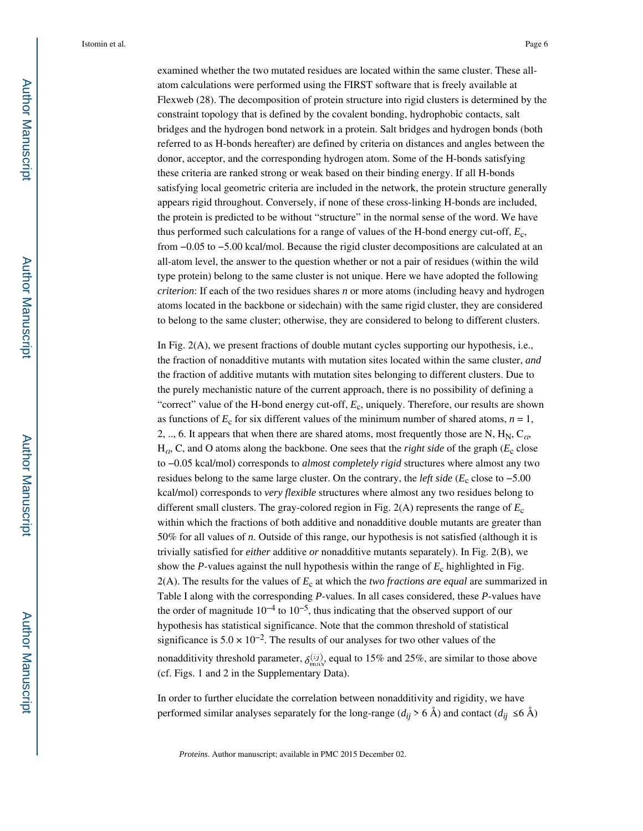examined whether the two mutated residues are located within the same cluster. These allatom calculations were performed using the FIRST software that is freely available at Flexweb (28). The decomposition of protein structure into rigid clusters is determined by the constraint topology that is defined by the covalent bonding, hydrophobic contacts, salt bridges and the hydrogen bond network in a protein. Salt bridges and hydrogen bonds (both referred to as H-bonds hereafter) are defined by criteria on distances and angles between the donor, acceptor, and the corresponding hydrogen atom. Some of the H-bonds satisfying these criteria are ranked strong or weak based on their binding energy. If all H-bonds satisfying local geometric criteria are included in the network, the protein structure generally appears rigid throughout. Conversely, if none of these cross-linking H-bonds are included, the protein is predicted to be without "structure" in the normal sense of the word. We have thus performed such calculations for a range of values of the H-bond energy cut-off, *E*<sup>c</sup> , from −0.05 to −5.00 kcal/mol. Because the rigid cluster decompositions are calculated at an all-atom level, the answer to the question whether or not a pair of residues (within the wild type protein) belong to the same cluster is not unique. Here we have adopted the following *criterion*: If each of the two residues shares *n* or more atoms (including heavy and hydrogen atoms located in the backbone or sidechain) with the same rigid cluster, they are considered to belong to the same cluster; otherwise, they are considered to belong to different clusters.

In Fig. 2(A), we present fractions of double mutant cycles supporting our hypothesis, i.e., the fraction of nonadditive mutants with mutation sites located within the same cluster, *and*  the fraction of additive mutants with mutation sites belonging to different clusters. Due to the purely mechanistic nature of the current approach, there is no possibility of defining a "correct" value of the H-bond energy cut-off,  $E_c$ , uniquely. Therefore, our results are shown as functions of  $E_c$  for six different values of the minimum number of shared atoms,  $n = 1$ , 2, .., 6. It appears that when there are shared atoms, most frequently those are N,  $H_N$ ,  $C_{\alpha}$ ,  $H<sub>a</sub>$ , C, and O atoms along the backbone. One sees that the *right side* of the graph ( $E<sub>c</sub>$  close to −0.05 kcal/mol) corresponds to *almost completely rigid* structures where almost any two residues belong to the same large cluster. On the contrary, the *left side* (*E*<sup>c</sup> close to −5.00 kcal/mol) corresponds to *very flexible* structures where almost any two residues belong to different small clusters. The gray-colored region in Fig. 2(A) represents the range of *E*<sup>c</sup> within which the fractions of both additive and nonadditive double mutants are greater than 50% for all values of *n*. Outside of this range, our hypothesis is not satisfied (although it is trivially satisfied for *either* additive *or* nonadditive mutants separately). In Fig. 2(B), we show the *P*-values against the null hypothesis within the range of *E*<sup>c</sup> highlighted in Fig.  $2(A)$ . The results for the values of  $E_c$  at which the *two fractions are equal* are summarized in Table I along with the corresponding *P*-values. In all cases considered, these *P*-values have the order of magnitude  $10^{-4}$  to  $10^{-5}$ , thus indicating that the observed support of our hypothesis has statistical significance. Note that the common threshold of statistical significance is  $5.0 \times 10^{-2}$ . The results of our analyses for two other values of the nonadditivity threshold parameter,  $\delta_{\text{max}}^{(ij)}$ , equal to 15% and 25%, are similar to those above (cf. Figs. 1 and 2 in the Supplementary Data).

In order to further elucidate the correlation between nonadditivity and rigidity, we have performed similar analyses separately for the long-range ( $d_{ij} > 6$  Å) and contact ( $d_{ij} \le 6$  Å)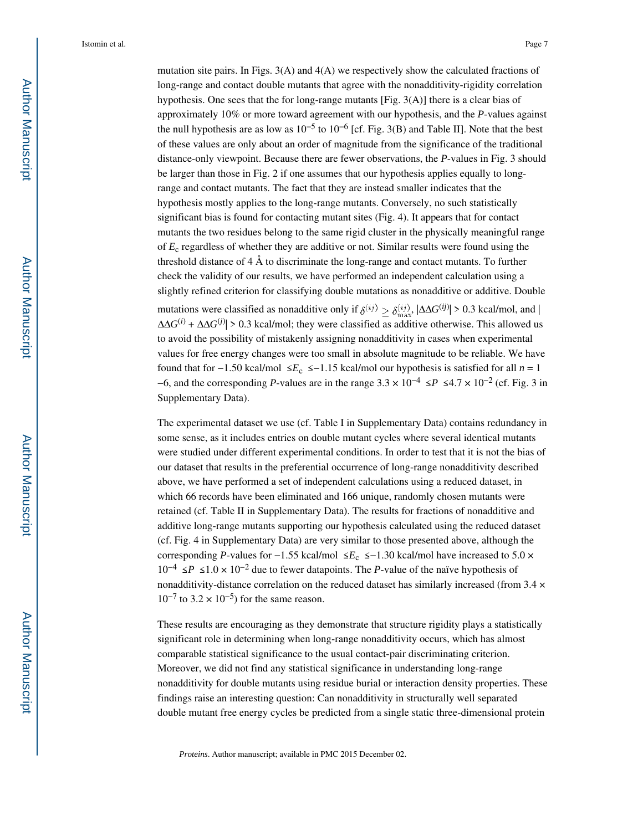mutation site pairs. In Figs. 3(A) and 4(A) we respectively show the calculated fractions of long-range and contact double mutants that agree with the nonadditivity-rigidity correlation hypothesis. One sees that the for long-range mutants  $[Fig. 3(A)]$  there is a clear bias of approximately 10% or more toward agreement with our hypothesis, and the *P*-values against the null hypothesis are as low as  $10^{-5}$  to  $10^{-6}$  [cf. Fig. 3(B) and Table II]. Note that the best of these values are only about an order of magnitude from the significance of the traditional distance-only viewpoint. Because there are fewer observations, the *P*-values in Fig. 3 should be larger than those in Fig. 2 if one assumes that our hypothesis applies equally to longrange and contact mutants. The fact that they are instead smaller indicates that the hypothesis mostly applies to the long-range mutants. Conversely, no such statistically significant bias is found for contacting mutant sites (Fig. 4). It appears that for contact mutants the two residues belong to the same rigid cluster in the physically meaningful range of *E*<sup>c</sup> regardless of whether they are additive or not. Similar results were found using the threshold distance of 4 Å to discriminate the long-range and contact mutants. To further check the validity of our results, we have performed an independent calculation using a slightly refined criterion for classifying double mutations as nonadditive or additive. Double mutations were classified as nonadditive only if  $\delta^{(ij)} > \delta^{(ij)}_{\text{max}}$ ,  $|\Delta\Delta G^{(ij)}| > 0.3$  kcal/mol, and  $\Delta\Delta G^{(i)} + \Delta\Delta G^{(j)}$  > 0.3 kcal/mol; they were classified as additive otherwise. This allowed us to avoid the possibility of mistakenly assigning nonadditivity in cases when experimental values for free energy changes were too small in absolute magnitude to be reliable. We have found that for  $-1.50$  kcal/mol  $\le E_c$  ≤ -1.15 kcal/mol our hypothesis is satisfied for all *n* = 1 −6, and the corresponding *P*-values are in the range  $3.3 \times 10^{-4}$  ≤ *P* ≤ 4.7 × 10<sup>-2</sup> (cf. Fig. 3 in Supplementary Data).

The experimental dataset we use (cf. Table I in Supplementary Data) contains redundancy in some sense, as it includes entries on double mutant cycles where several identical mutants were studied under different experimental conditions. In order to test that it is not the bias of our dataset that results in the preferential occurrence of long-range nonadditivity described above, we have performed a set of independent calculations using a reduced dataset, in which 66 records have been eliminated and 166 unique, randomly chosen mutants were retained (cf. Table II in Supplementary Data). The results for fractions of nonadditive and additive long-range mutants supporting our hypothesis calculated using the reduced dataset (cf. Fig. 4 in Supplementary Data) are very similar to those presented above, although the corresponding *P*-values for –1.55 kcal/mol ≤ $E_c$  ≤–1.30 kcal/mol have increased to 5.0 × 10−4 ≤ *P* ≤ 1.0 × 10−2 due to fewer datapoints. The *P*-value of the naïve hypothesis of nonadditivity-distance correlation on the reduced dataset has similarly increased (from 3.4 ×  $10^{-7}$  to  $3.2 \times 10^{-5}$ ) for the same reason.

These results are encouraging as they demonstrate that structure rigidity plays a statistically significant role in determining when long-range nonadditivity occurs, which has almost comparable statistical significance to the usual contact-pair discriminating criterion. Moreover, we did not find any statistical significance in understanding long-range nonadditivity for double mutants using residue burial or interaction density properties. These findings raise an interesting question: Can nonadditivity in structurally well separated double mutant free energy cycles be predicted from a single static three-dimensional protein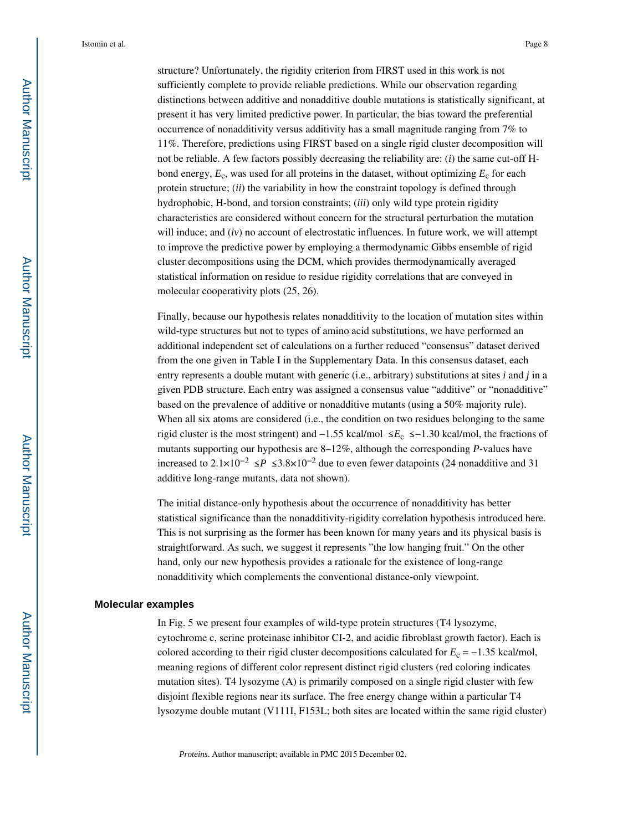structure? Unfortunately, the rigidity criterion from FIRST used in this work is not sufficiently complete to provide reliable predictions. While our observation regarding distinctions between additive and nonadditive double mutations is statistically significant, at present it has very limited predictive power. In particular, the bias toward the preferential occurrence of nonadditivity versus additivity has a small magnitude ranging from 7% to 11%. Therefore, predictions using FIRST based on a single rigid cluster decomposition will not be reliable. A few factors possibly decreasing the reliability are: (*i*) the same cut-off Hbond energy,  $E_c$ , was used for all proteins in the dataset, without optimizing  $E_c$  for each protein structure; (*ii*) the variability in how the constraint topology is defined through hydrophobic, H-bond, and torsion constraints; (*iii*) only wild type protein rigidity characteristics are considered without concern for the structural perturbation the mutation will induce; and *(iv)* no account of electrostatic influences. In future work, we will attempt to improve the predictive power by employing a thermodynamic Gibbs ensemble of rigid cluster decompositions using the DCM, which provides thermodynamically averaged statistical information on residue to residue rigidity correlations that are conveyed in molecular cooperativity plots (25, 26).

Finally, because our hypothesis relates nonadditivity to the location of mutation sites within wild-type structures but not to types of amino acid substitutions, we have performed an additional independent set of calculations on a further reduced "consensus" dataset derived from the one given in Table I in the Supplementary Data. In this consensus dataset, each entry represents a double mutant with generic (i.e., arbitrary) substitutions at sites *i* and *j* in a given PDB structure. Each entry was assigned a consensus value "additive" or "nonadditive" based on the prevalence of additive or nonadditive mutants (using a 50% majority rule). When all six atoms are considered (i.e., the condition on two residues belonging to the same rigid cluster is the most stringent) and −1.55 kcal/mol ≤ *E*<sup>c</sup> ≤ −1.30 kcal/mol, the fractions of mutants supporting our hypothesis are 8–12%, although the corresponding *P*-values have increased to  $2.1 \times 10^{-2}$  ≤  $P$  ≤  $3.8 \times 10^{-2}$  due to even fewer datapoints (24 nonadditive and 31 additive long-range mutants, data not shown).

The initial distance-only hypothesis about the occurrence of nonadditivity has better statistical significance than the nonadditivity-rigidity correlation hypothesis introduced here. This is not surprising as the former has been known for many years and its physical basis is straightforward. As such, we suggest it represents "the low hanging fruit." On the other hand, only our new hypothesis provides a rationale for the existence of long-range nonadditivity which complements the conventional distance-only viewpoint.

#### **Molecular examples**

In Fig. 5 we present four examples of wild-type protein structures (T4 lysozyme, cytochrome c, serine proteinase inhibitor CI-2, and acidic fibroblast growth factor). Each is colored according to their rigid cluster decompositions calculated for  $E_c = -1.35$  kcal/mol, meaning regions of different color represent distinct rigid clusters (red coloring indicates mutation sites). T4 lysozyme (A) is primarily composed on a single rigid cluster with few disjoint flexible regions near its surface. The free energy change within a particular T4 lysozyme double mutant (V111I, F153L; both sites are located within the same rigid cluster)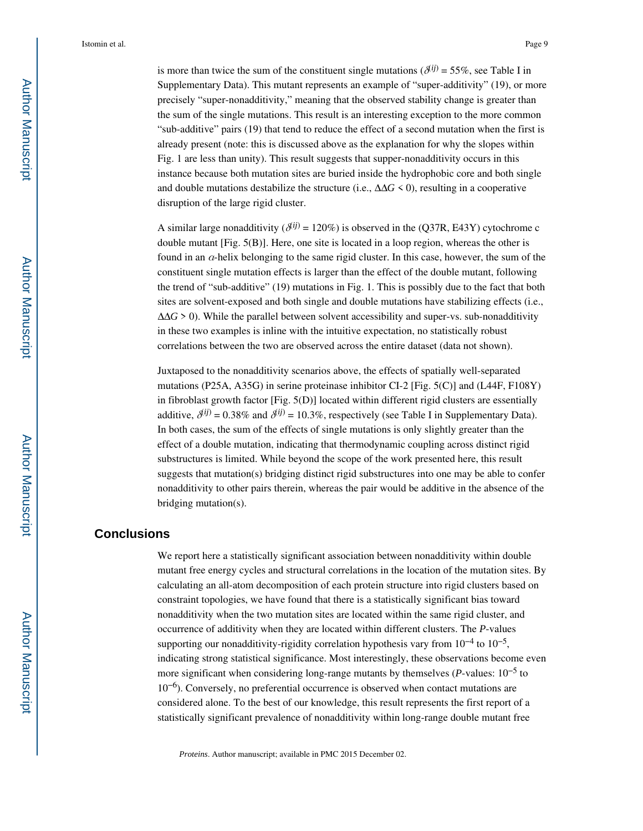is more than twice the sum of the constituent single mutations ( $\delta^{(ij)} = 55\%$ , see Table I in Supplementary Data). This mutant represents an example of "super-additivity" (19), or more precisely "super-nonadditivity," meaning that the observed stability change is greater than the sum of the single mutations. This result is an interesting exception to the more common "sub-additive" pairs (19) that tend to reduce the effect of a second mutation when the first is already present (note: this is discussed above as the explanation for why the slopes within Fig. 1 are less than unity). This result suggests that supper-nonadditivity occurs in this instance because both mutation sites are buried inside the hydrophobic core and both single and double mutations destabilize the structure (i.e.,  $\Delta\Delta G \le 0$ ), resulting in a cooperative disruption of the large rigid cluster.

A similar large nonadditivity ( $\delta^{(ij)}$  = 120%) is observed in the (Q37R, E43Y) cytochrome c double mutant [Fig. 5(B)]. Here, one site is located in a loop region, whereas the other is found in an  $\alpha$ -helix belonging to the same rigid cluster. In this case, however, the sum of the constituent single mutation effects is larger than the effect of the double mutant, following the trend of "sub-additive" (19) mutations in Fig. 1. This is possibly due to the fact that both sites are solvent-exposed and both single and double mutations have stabilizing effects (i.e., ΔΔ*G* > 0). While the parallel between solvent accessibility and super-vs. sub-nonadditivity in these two examples is inline with the intuitive expectation, no statistically robust correlations between the two are observed across the entire dataset (data not shown).

Juxtaposed to the nonadditivity scenarios above, the effects of spatially well-separated mutations (P25A, A35G) in serine proteinase inhibitor CI-2 [Fig. 5(C)] and (L44F, F108Y) in fibroblast growth factor [Fig. 5(D)] located within different rigid clusters are essentially additive,  $\delta^{(ij)} = 0.38\%$  and  $\delta^{(ij)} = 10.3\%$ , respectively (see Table I in Supplementary Data). In both cases, the sum of the effects of single mutations is only slightly greater than the effect of a double mutation, indicating that thermodynamic coupling across distinct rigid substructures is limited. While beyond the scope of the work presented here, this result suggests that mutation(s) bridging distinct rigid substructures into one may be able to confer nonadditivity to other pairs therein, whereas the pair would be additive in the absence of the bridging mutation(s).

#### **Conclusions**

We report here a statistically significant association between nonadditivity within double mutant free energy cycles and structural correlations in the location of the mutation sites. By calculating an all-atom decomposition of each protein structure into rigid clusters based on constraint topologies, we have found that there is a statistically significant bias toward nonadditivity when the two mutation sites are located within the same rigid cluster, and occurrence of additivity when they are located within different clusters. The *P*-values supporting our nonadditivity-rigidity correlation hypothesis vary from  $10^{-4}$  to  $10^{-5}$ , indicating strong statistical significance. Most interestingly, these observations become even more significant when considering long-range mutants by themselves (*P*-values: 10−5 to 10−6). Conversely, no preferential occurrence is observed when contact mutations are considered alone. To the best of our knowledge, this result represents the first report of a statistically significant prevalence of nonadditivity within long-range double mutant free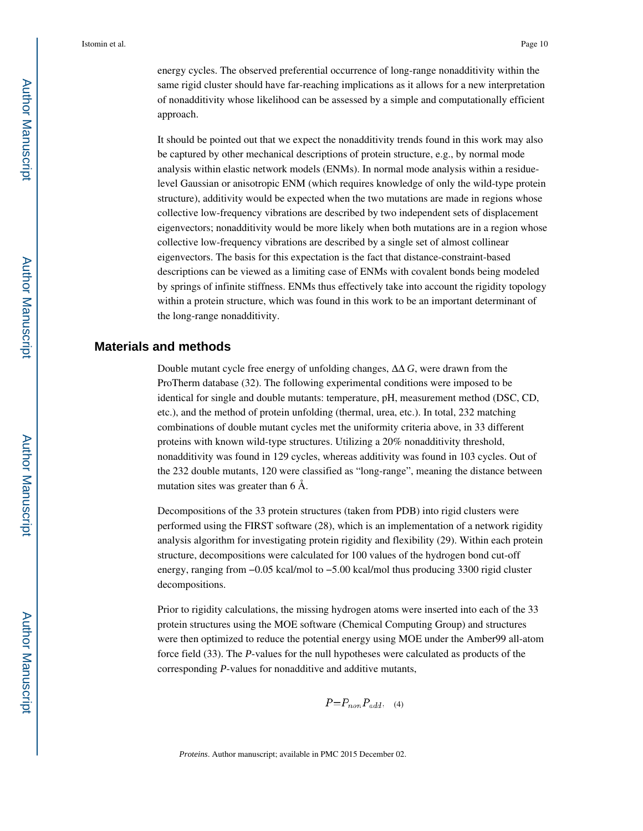energy cycles. The observed preferential occurrence of long-range nonadditivity within the same rigid cluster should have far-reaching implications as it allows for a new interpretation of nonadditivity whose likelihood can be assessed by a simple and computationally efficient approach.

It should be pointed out that we expect the nonadditivity trends found in this work may also be captured by other mechanical descriptions of protein structure, e.g., by normal mode analysis within elastic network models (ENMs). In normal mode analysis within a residuelevel Gaussian or anisotropic ENM (which requires knowledge of only the wild-type protein structure), additivity would be expected when the two mutations are made in regions whose collective low-frequency vibrations are described by two independent sets of displacement eigenvectors; nonadditivity would be more likely when both mutations are in a region whose collective low-frequency vibrations are described by a single set of almost collinear eigenvectors. The basis for this expectation is the fact that distance-constraint-based descriptions can be viewed as a limiting case of ENMs with covalent bonds being modeled by springs of infinite stiffness. ENMs thus effectively take into account the rigidity topology within a protein structure, which was found in this work to be an important determinant of the long-range nonadditivity.

#### **Materials and methods**

Double mutant cycle free energy of unfolding changes, ΔΔ *G*, were drawn from the ProTherm database (32). The following experimental conditions were imposed to be identical for single and double mutants: temperature, pH, measurement method (DSC, CD, etc.), and the method of protein unfolding (thermal, urea, etc.). In total, 232 matching combinations of double mutant cycles met the uniformity criteria above, in 33 different proteins with known wild-type structures. Utilizing a 20% nonadditivity threshold, nonadditivity was found in 129 cycles, whereas additivity was found in 103 cycles. Out of the 232 double mutants, 120 were classified as "long-range", meaning the distance between mutation sites was greater than 6 Å.

Decompositions of the 33 protein structures (taken from PDB) into rigid clusters were performed using the FIRST software (28), which is an implementation of a network rigidity analysis algorithm for investigating protein rigidity and flexibility (29). Within each protein structure, decompositions were calculated for 100 values of the hydrogen bond cut-off energy, ranging from −0.05 kcal/mol to −5.00 kcal/mol thus producing 3300 rigid cluster decompositions.

Prior to rigidity calculations, the missing hydrogen atoms were inserted into each of the 33 protein structures using the MOE software (Chemical Computing Group) and structures were then optimized to reduce the potential energy using MOE under the Amber99 all-atom force field (33). The *P*-values for the null hypotheses were calculated as products of the corresponding *P*-values for nonadditive and additive mutants,

$$
P = P_{non} P_{add}, \quad (4)
$$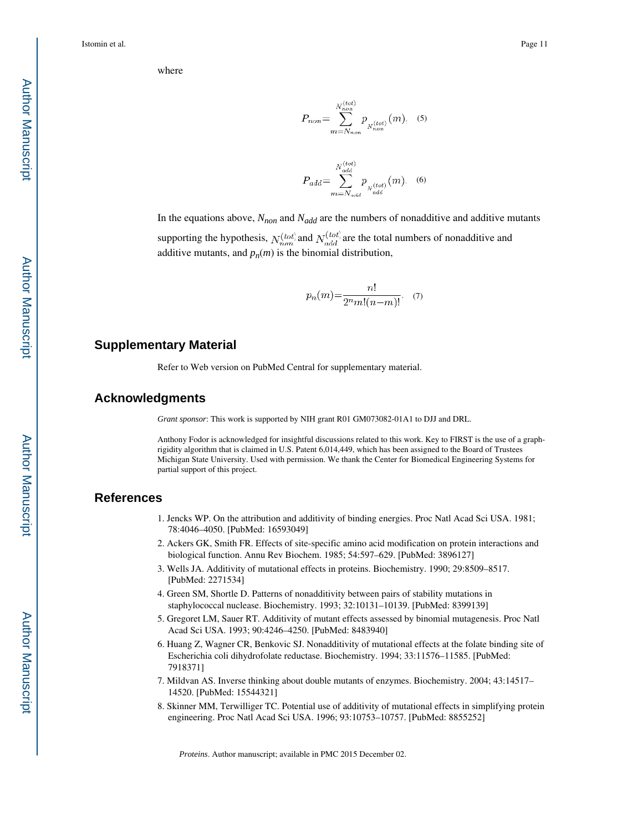where

$$
P_{non} = \sum_{m=N_{non}}^{N_{non}^{(tot)}} p_{N_{non}^{(tot)}}(m). \quad (5)
$$

$$
P_{add} = \sum_{m=N_{add}}^{N_{add}^{(tot)}} p_{N_{add}^{(tot)}}(m). \quad (6)
$$

In the equations above,  $N_{non}$  and  $N_{add}$  are the numbers of nonadditive and additive mutants

supporting the hypothesis,  $N_{non}^{(tot)}$  and  $N_{add}^{(tot)}$  are the total numbers of nonadditive and additive mutants, and  $p_n(m)$  is the binomial distribution,

$$
p_n(m) = \frac{n!}{2^n m! (n-m)!}.
$$
 (7)

#### **Supplementary Material**

Refer to Web version on PubMed Central for supplementary material.

#### **Acknowledgments**

*Grant sponsor*: This work is supported by NIH grant R01 GM073082-01A1 to DJJ and DRL.

Anthony Fodor is acknowledged for insightful discussions related to this work. Key to FIRST is the use of a graphrigidity algorithm that is claimed in U.S. Patent 6,014,449, which has been assigned to the Board of Trustees Michigan State University. Used with permission. We thank the Center for Biomedical Engineering Systems for partial support of this project.

#### **References**

- 1. Jencks WP. On the attribution and additivity of binding energies. Proc Natl Acad Sci USA. 1981; 78:4046–4050. [PubMed: 16593049]
- 2. Ackers GK, Smith FR. Effects of site-specific amino acid modification on protein interactions and biological function. Annu Rev Biochem. 1985; 54:597–629. [PubMed: 3896127]
- 3. Wells JA. Additivity of mutational effects in proteins. Biochemistry. 1990; 29:8509–8517. [PubMed: 2271534]
- 4. Green SM, Shortle D. Patterns of nonadditivity between pairs of stability mutations in staphylococcal nuclease. Biochemistry. 1993; 32:10131–10139. [PubMed: 8399139]
- 5. Gregoret LM, Sauer RT. Additivity of mutant effects assessed by binomial mutagenesis. Proc Natl Acad Sci USA. 1993; 90:4246–4250. [PubMed: 8483940]
- 6. Huang Z, Wagner CR, Benkovic SJ. Nonadditivity of mutational effects at the folate binding site of Escherichia coli dihydrofolate reductase. Biochemistry. 1994; 33:11576–11585. [PubMed: 7918371]
- 7. Mildvan AS. Inverse thinking about double mutants of enzymes. Biochemistry. 2004; 43:14517– 14520. [PubMed: 15544321]
- 8. Skinner MM, Terwilliger TC. Potential use of additivity of mutational effects in simplifying protein engineering. Proc Natl Acad Sci USA. 1996; 93:10753–10757. [PubMed: 8855252]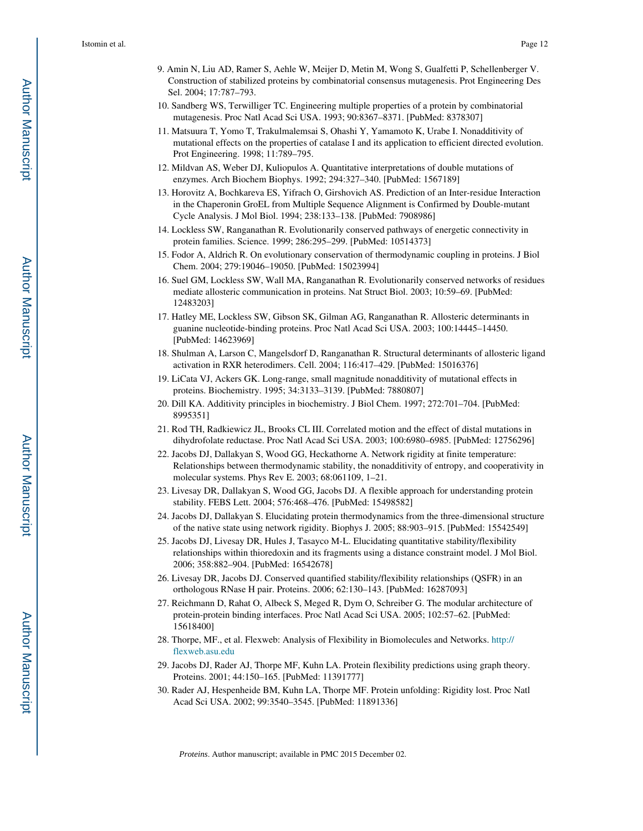- 9. Amin N, Liu AD, Ramer S, Aehle W, Meijer D, Metin M, Wong S, Gualfetti P, Schellenberger V. Construction of stabilized proteins by combinatorial consensus mutagenesis. Prot Engineering Des Sel. 2004; 17:787–793.
- 10. Sandberg WS, Terwilliger TC. Engineering multiple properties of a protein by combinatorial mutagenesis. Proc Natl Acad Sci USA. 1993; 90:8367–8371. [PubMed: 8378307]
- 11. Matsuura T, Yomo T, Trakulmalemsai S, Ohashi Y, Yamamoto K, Urabe I. Nonadditivity of mutational effects on the properties of catalase I and its application to efficient directed evolution. Prot Engineering. 1998; 11:789–795.
- 12. Mildvan AS, Weber DJ, Kuliopulos A. Quantitative interpretations of double mutations of enzymes. Arch Biochem Biophys. 1992; 294:327–340. [PubMed: 1567189]
- 13. Horovitz A, Bochkareva ES, Yifrach O, Girshovich AS. Prediction of an Inter-residue Interaction in the Chaperonin GroEL from Multiple Sequence Alignment is Confirmed by Double-mutant Cycle Analysis. J Mol Biol. 1994; 238:133–138. [PubMed: 7908986]
- 14. Lockless SW, Ranganathan R. Evolutionarily conserved pathways of energetic connectivity in protein families. Science. 1999; 286:295–299. [PubMed: 10514373]
- 15. Fodor A, Aldrich R. On evolutionary conservation of thermodynamic coupling in proteins. J Biol Chem. 2004; 279:19046–19050. [PubMed: 15023994]
- 16. Suel GM, Lockless SW, Wall MA, Ranganathan R. Evolutionarily conserved networks of residues mediate allosteric communication in proteins. Nat Struct Biol. 2003; 10:59–69. [PubMed: 12483203]
- 17. Hatley ME, Lockless SW, Gibson SK, Gilman AG, Ranganathan R. Allosteric determinants in guanine nucleotide-binding proteins. Proc Natl Acad Sci USA. 2003; 100:14445–14450. [PubMed: 14623969]
- 18. Shulman A, Larson C, Mangelsdorf D, Ranganathan R. Structural determinants of allosteric ligand activation in RXR heterodimers. Cell. 2004; 116:417–429. [PubMed: 15016376]
- 19. LiCata VJ, Ackers GK. Long-range, small magnitude nonadditivity of mutational effects in proteins. Biochemistry. 1995; 34:3133–3139. [PubMed: 7880807]
- 20. Dill KA. Additivity principles in biochemistry. J Biol Chem. 1997; 272:701–704. [PubMed: 8995351]
- 21. Rod TH, Radkiewicz JL, Brooks CL III. Correlated motion and the effect of distal mutations in dihydrofolate reductase. Proc Natl Acad Sci USA. 2003; 100:6980–6985. [PubMed: 12756296]
- 22. Jacobs DJ, Dallakyan S, Wood GG, Heckathorne A. Network rigidity at finite temperature: Relationships between thermodynamic stability, the nonadditivity of entropy, and cooperativity in molecular systems. Phys Rev E. 2003; 68:061109, 1–21.
- 23. Livesay DR, Dallakyan S, Wood GG, Jacobs DJ. A flexible approach for understanding protein stability. FEBS Lett. 2004; 576:468–476. [PubMed: 15498582]
- 24. Jacobs DJ, Dallakyan S. Elucidating protein thermodynamics from the three-dimensional structure of the native state using network rigidity. Biophys J. 2005; 88:903–915. [PubMed: 15542549]
- 25. Jacobs DJ, Livesay DR, Hules J, Tasayco M-L. Elucidating quantitative stability/flexibility relationships within thioredoxin and its fragments using a distance constraint model. J Mol Biol. 2006; 358:882–904. [PubMed: 16542678]
- 26. Livesay DR, Jacobs DJ. Conserved quantified stability/flexibility relationships (QSFR) in an orthologous RNase H pair. Proteins. 2006; 62:130–143. [PubMed: 16287093]
- 27. Reichmann D, Rahat O, Albeck S, Meged R, Dym O, Schreiber G. The modular architecture of protein-protein binding interfaces. Proc Natl Acad Sci USA. 2005; 102:57–62. [PubMed: 15618400]
- 28. Thorpe, MF., et al. Flexweb: Analysis of Flexibility in Biomolecules and Networks. http:// flexweb.asu.edu
- 29. Jacobs DJ, Rader AJ, Thorpe MF, Kuhn LA. Protein flexibility predictions using graph theory. Proteins. 2001; 44:150–165. [PubMed: 11391777]
- 30. Rader AJ, Hespenheide BM, Kuhn LA, Thorpe MF. Protein unfolding: Rigidity lost. Proc Natl Acad Sci USA. 2002; 99:3540–3545. [PubMed: 11891336]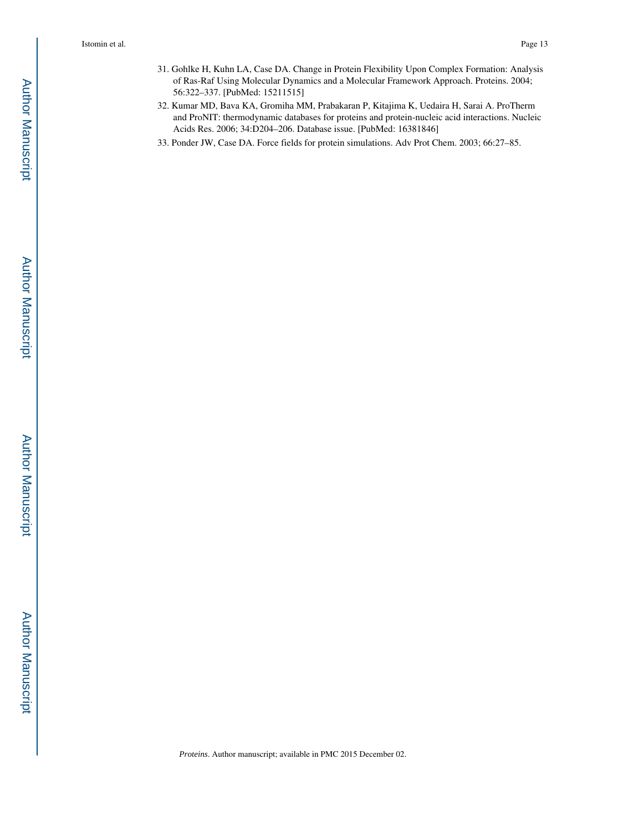- 31. Gohlke H, Kuhn LA, Case DA. Change in Protein Flexibility Upon Complex Formation: Analysis of Ras-Raf Using Molecular Dynamics and a Molecular Framework Approach. Proteins. 2004; 56:322–337. [PubMed: 15211515]
- 32. Kumar MD, Bava KA, Gromiha MM, Prabakaran P, Kitajima K, Uedaira H, Sarai A. ProTherm and ProNIT: thermodynamic databases for proteins and protein-nucleic acid interactions. Nucleic Acids Res. 2006; 34:D204–206. Database issue. [PubMed: 16381846]
- 33. Ponder JW, Case DA. Force fields for protein simulations. Adv Prot Chem. 2003; 66:27–85.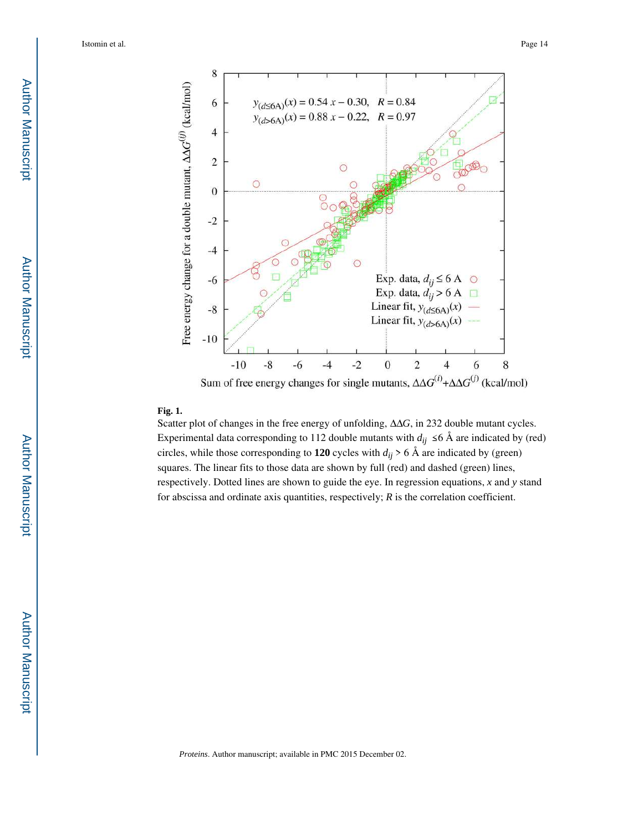

#### **Fig. 1.**

Scatter plot of changes in the free energy of unfolding, ΔΔ*G*, in 232 double mutant cycles. Experimental data corresponding to 112 double mutants with  $d_{ij} \leq 6$  Å are indicated by (red) circles, while those corresponding to 120 cycles with  $d_{ij}$  > 6 Å are indicated by (green) squares. The linear fits to those data are shown by full (red) and dashed (green) lines, respectively. Dotted lines are shown to guide the eye. In regression equations, *x* and *y* stand for abscissa and ordinate axis quantities, respectively; *R* is the correlation coefficient.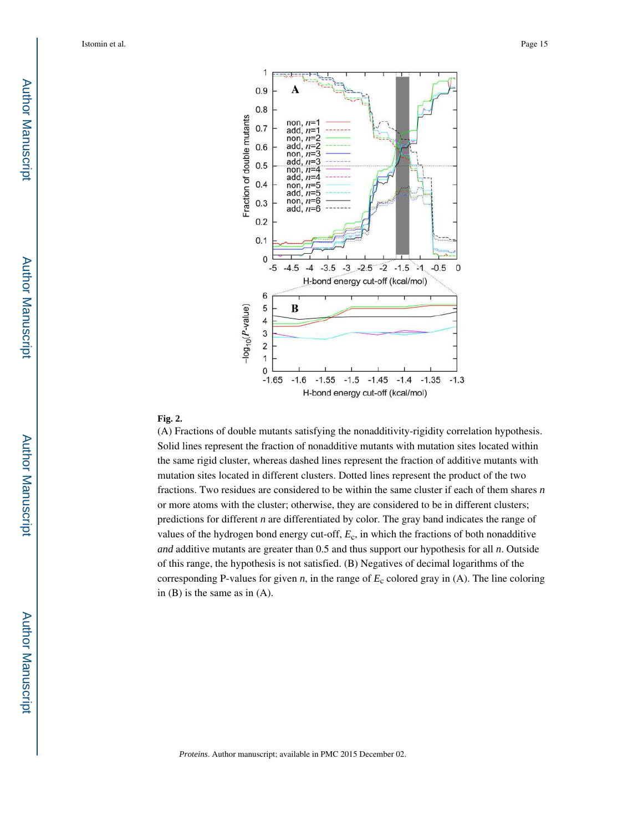

#### **Fig. 2.**

(A) Fractions of double mutants satisfying the nonadditivity-rigidity correlation hypothesis. Solid lines represent the fraction of nonadditive mutants with mutation sites located within the same rigid cluster, whereas dashed lines represent the fraction of additive mutants with mutation sites located in different clusters. Dotted lines represent the product of the two fractions. Two residues are considered to be within the same cluster if each of them shares *n*  or more atoms with the cluster; otherwise, they are considered to be in different clusters; predictions for different *n* are differentiated by color. The gray band indicates the range of values of the hydrogen bond energy cut-off, *E*<sup>c</sup> , in which the fractions of both nonadditive *and* additive mutants are greater than 0.5 and thus support our hypothesis for all *n*. Outside of this range, the hypothesis is not satisfied. (B) Negatives of decimal logarithms of the corresponding P-values for given  $n$ , in the range of  $E_c$  colored gray in (A). The line coloring in (B) is the same as in (A).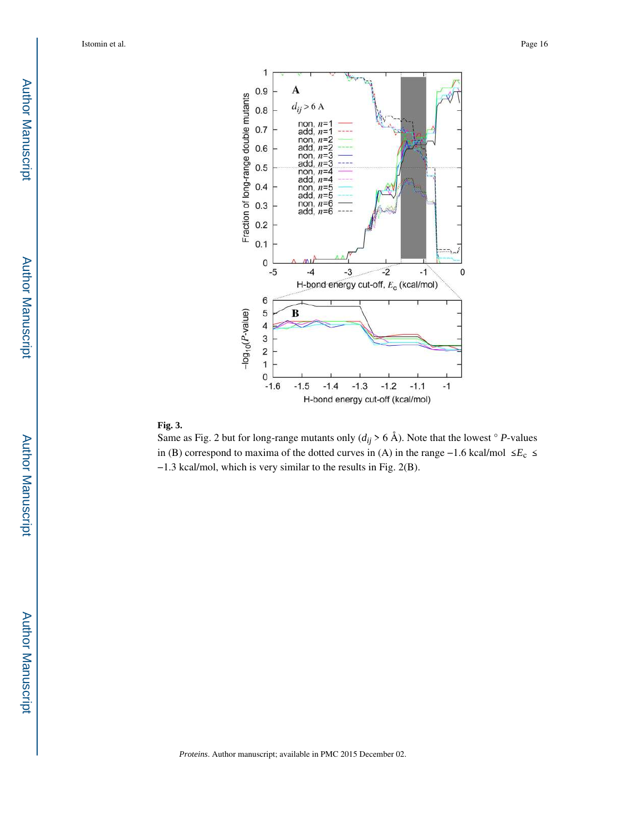

#### **Fig. 3.**

Same as Fig. 2 but for long-range mutants only  $(d_{ij} > 6 \text{ Å})$ . Note that the lowest  $\degree$  *P*-values in (B) correspond to maxima of the dotted curves in (A) in the range −1.6 kcal/mol ≤ *E*<sup>c</sup> ≤ −1.3 kcal/mol, which is very similar to the results in Fig. 2(B).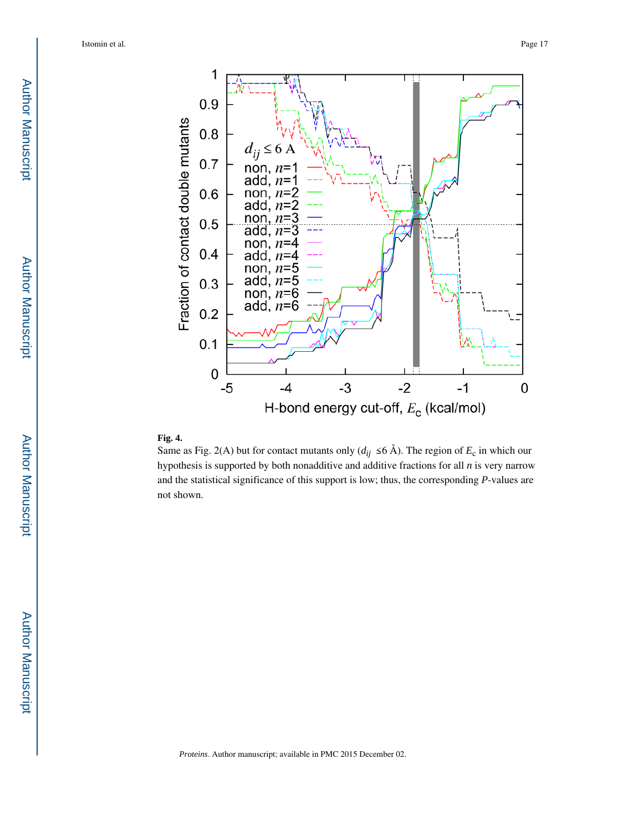

#### **Fig. 4.**

Same as Fig. 2(A) but for contact mutants only  $(d_{ij} \leq 6 \text{ Å})$ . The region of  $E_c$  in which our hypothesis is supported by both nonadditive and additive fractions for all *n* is very narrow and the statistical significance of this support is low; thus, the corresponding *P*-values are not shown.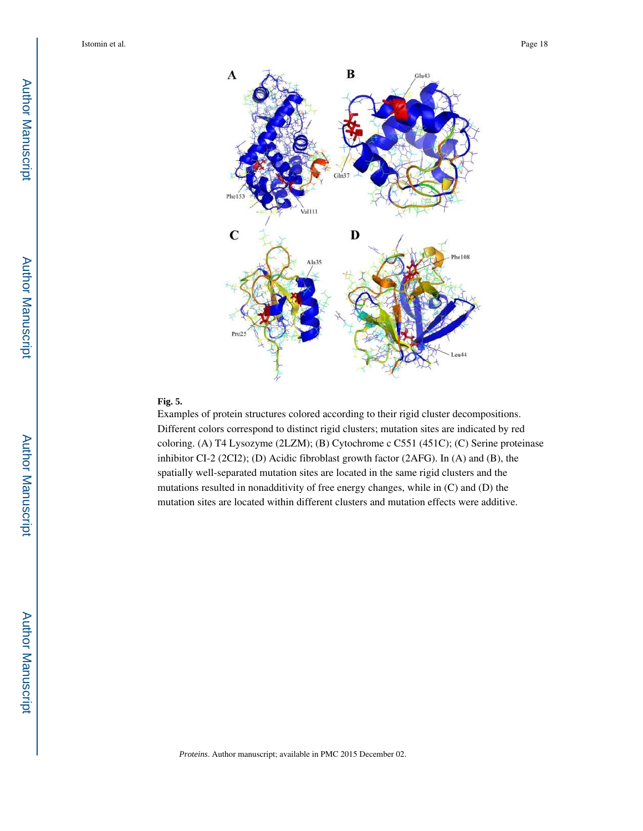

#### **Fig. 5.**

Examples of protein structures colored according to their rigid cluster decompositions. Different colors correspond to distinct rigid clusters; mutation sites are indicated by red coloring. (A) T4 Lysozyme (2LZM); (B) Cytochrome c C551 (451C); (C) Serine proteinase inhibitor CI-2 (2CI2); (D) Acidic fibroblast growth factor (2AFG). In (A) and (B), the spatially well-separated mutation sites are located in the same rigid clusters and the mutations resulted in nonadditivity of free energy changes, while in (C) and (D) the mutation sites are located within different clusters and mutation effects were additive.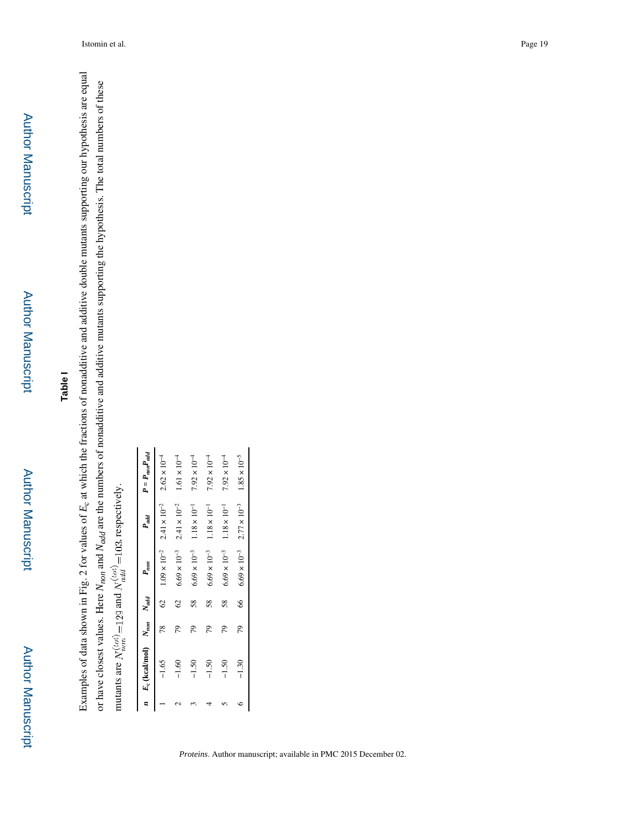Author Manuscript

**Author Manuscript** 

## **Table I**

Examples of data shown in Fig. 2 for values of  $E_c$  at which the fractions of nonadditive and additive double mutants supporting our hypothesis are equal  $E_c$  at which the fractions of nonadditive and additive double mutants supporting our hypothesis are equal or have closest values. Here  $N_{nod}$  and  $N_{add}$  are the numbers of nonadditive and additive mutants supporting the hypothesis. The total numbers of these  $N_{add}$  are the numbers of nonadditive and additive mutants supporting the hypothesis. The total numbers of these mutants are  $N_{ncm}^{(tot)}$  = 129 and  $N_{ndel}^{(tot)}$  = 103, respectively. mutants are  $N_s^{(tot)} = 129$  and  $N_{s,d}^{(tot)} = 103$ , respectively. Examples of data shown in Fig. 2 for values of or have closest values. Here

|         | $n$ $E_c$ (kcal/mol) $N_{non}$ $N_{add}$ |               | $P_{nom}$             | $P_{add}$             | $P = P_{non}P_{add}$  |
|---------|------------------------------------------|---------------|-----------------------|-----------------------|-----------------------|
| $-1.65$ |                                          | $\mathcal{S}$ | $1.09\times10^{-2}$   | $2.41 \times 10^{-2}$ | $2.62 \times 10^{-4}$ |
| $-1.60$ | 56                                       | $\mathcal{S}$ | $6.69 \times 10^{-3}$ | $2.41\times10^{-2}$   | $1.61 \times 10^{-4}$ |
| $-1.50$ | 51                                       | 58            | $6.69 \times 10^{-3}$ | $1.18 \times 10^{-1}$ | $7.92 \times 10^{-4}$ |
| $-1.50$ | 79                                       | 58            | $6.69 \times 10^{-3}$ | $1.18 \times 10^{-1}$ | $7.92 \times 10^{-4}$ |
| $-1.50$ | 56                                       | 58            | $6.69 \times 10^{-3}$ | $1.18 \times 10^{-1}$ | $7.92 \times 10^{-4}$ |
| $-1.30$ | 79                                       | 8             | $6.69 \times 10^{-3}$ | $2.77\times10^{-3}$   | $1.85 \times 10^{-5}$ |